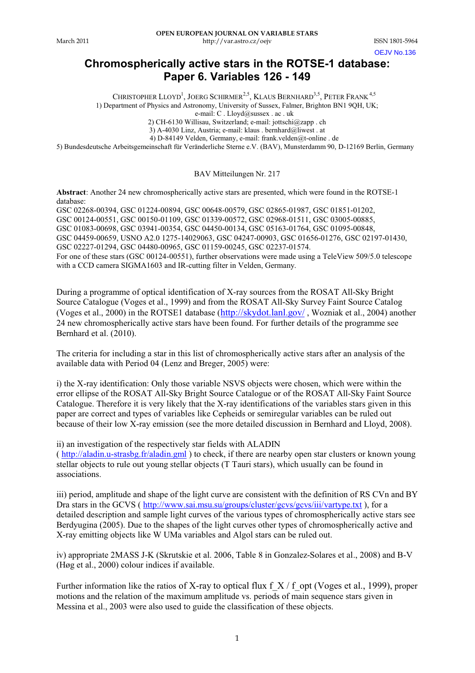OEJV No.136

# **Chromospherically active stars in the ROTSE-1 database: Paper 6. Variables 126 - 149**

CHRISTOPHER LLOYD<sup>1</sup>, JOERG SCHIRMER<sup>2,5</sup>, KLAUS BERNHARD<sup>3,5</sup>, PETER FRANK<sup>4,5</sup> 1) Department of Physics and Astronomy, University of Sussex, Falmer, Brighton BN1 9QH, UK;

e-mail: C . Lloyd@sussex . ac . uk

2) CH-6130 Willisau, Switzerland; e-mail: jottschi@zapp . ch 3) A-4030 Linz, Austria; e-mail: klaus . bernhard@liwest . at

4) D-84149 Velden, Germany, e-mail: frank.velden@t-online . de

5) Bundesdeutsche Arbeitsgemeinschaft für Veränderliche Sterne e.V. (BAV), Munsterdamm 90, D-12169 Berlin, Germany

## BAV Mitteilungen Nr. 217

**Abstract**: Another 24 new chromospherically active stars are presented, which were found in the ROTSE-1 database:

GSC 02268-00394, GSC 01224-00894, GSC 00648-00579, GSC 02865-01987, GSC 01851-01202, GSC 00124-00551, GSC 00150-01109, GSC 01339-00572, GSC 02968-01511, GSC 03005-00885, GSC 01083-00698, GSC 03941-00354, GSC 04450-00134, GSC 05163-01764, GSC 01095-00848, GSC 04459-00659, USNO A2.0 1275-14029063, GSC 04247-00903, GSC 01656-01276, GSC 02197-01430, GSC 02227-01294, GSC 04480-00965, GSC 01159-00245, GSC 02237-01574. For one of these stars (GSC 00124-00551), further observations were made using a TeleView 509/5.0 telescope with a CCD camera SIGMA1603 and IR-cutting filter in Velden, Germany.

During a programme of optical identification of X-ray sources from the ROSAT All-Sky Bright Source Catalogue (Voges et al., 1999) and from the ROSAT All-Sky Survey Faint Source Catalog (Voges et al., 2000) in the ROTSE1 database (http://skydot.lanl.gov/ , Wozniak et al., 2004) another 24 new chromospherically active stars have been found. For further details of the programme see Bernhard et al. (2010).

The criteria for including a star in this list of chromospherically active stars after an analysis of the available data with Period 04 (Lenz and Breger, 2005) were:

i) the X-ray identification: Only those variable NSVS objects were chosen, which were within the error ellipse of the ROSAT All-Sky Bright Source Catalogue or of the ROSAT All-Sky Faint Source Catalogue. Therefore it is very likely that the X-ray identifications of the variables stars given in this paper are correct and types of variables like Cepheids or semiregular variables can be ruled out because of their low X-ray emission (see the more detailed discussion in Bernhard and Lloyd, 2008).

ii) an investigation of the respectively star fields with ALADIN ( http://aladin.u-strasbg.fr/aladin.gml ) to check, if there are nearby open star clusters or known young stellar objects to rule out young stellar objects (T Tauri stars), which usually can be found in associations.

iii) period, amplitude and shape of the light curve are consistent with the definition of RS CVn and BY Dra stars in the GCVS (http://www.sai.msu.su/groups/cluster/gcvs/gcvs/iii/vartype.txt), for a detailed description and sample light curves of the various types of chromospherically active stars see Berdyugina (2005). Due to the shapes of the light curves other types of chromospherically active and X-ray emitting objects like W UMa variables and Algol stars can be ruled out.

iv) appropriate 2MASS J-K (Skrutskie et al. 2006, Table 8 in Gonzalez-Solares et al., 2008) and B-V (Høg et al., 2000) colour indices if available.

Further information like the ratios of X-ray to optical flux f  $X / f$  opt (Voges et al., 1999), proper motions and the relation of the maximum amplitude vs. periods of main sequence stars given in Messina et al., 2003 were also used to guide the classification of these objects.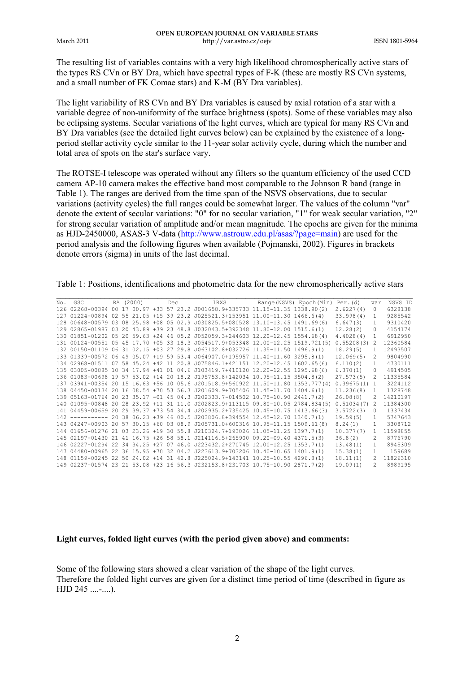The resulting list of variables contains with a very high likelihood chromospherically active stars of the types RS CVn or BY Dra, which have spectral types of F-K (these are mostly RS CVn systems, and a small number of FK Comae stars) and K-M (BY Dra variables).

The light variability of RS CVn and BY Dra variables is caused by axial rotation of a star with a variable degree of non-uniformity of the surface brightness (spots). Some of these variables may also be eclipsing systems. Secular variations of the light curves, which are typical for many RS CVn and BY Dra variables (see the detailed light curves below) can be explained by the existence of a longperiod stellar activity cycle similar to the 11-year solar activity cycle, during which the number and total area of spots on the star's surface vary.

The ROTSE-I telescope was operated without any filters so the quantum efficiency of the used CCD camera AP-10 camera makes the effective band most comparable to the Johnson R band (range in Table 1). The ranges are derived from the time span of the NSVS observations, due to secular variations (activity cycles) the full ranges could be somewhat larger. The values of the column "var" denote the extent of secular variations: "0" for no secular variation, "1" for weak secular variation, "2" for strong secular variation of amplitude and/or mean magnitude. The epochs are given for the minima as HJD-2450000, ASAS-3 V-data (http://www.astrouw.edu.pl/asas/?page=main) are used for the period analysis and the following figures when available (Pojmanski, 2002). Figures in brackets denote errors (sigma) in units of the last decimal.

Table 1: Positions, identifications and photometric data for the new chromospherically active stars

| No. GSC |  |  |  | RA (2000) Dec 1RXS Range (NSVS) Epoch (Min) Per. (d)                                          |  |               | var            | NSVS ID  |
|---------|--|--|--|-----------------------------------------------------------------------------------------------|--|---------------|----------------|----------|
|         |  |  |  | 126 02268-00394 00 17 00.97 +33 57 23.2 J001658.9+335733 11.15-11.35 1338.90 (2)              |  | 2.6227(4)     | $^{\circ}$     | 6328138  |
|         |  |  |  | 127 01224-00894 02 55 21.05 +15 39 23.2 J025521.3+153951 11.00-11.30 1466.6(4)                |  | 33.998(4)     | $\mathbf{1}$   | 9285542  |
|         |  |  |  | 128 00648-00579 03 08 25.98 +08 05 02.9 J030825.5+080528 13.10-13.45 1491.69(6)               |  | 6.647(3)      | $\mathbf{1}$   | 9310420  |
|         |  |  |  | 129 02865-01987 03 20 43.89 +39 23 48.8 J032043.5+392348 11.80-12.00 1515.6(1)                |  | 12,28(2)      | $\Omega$       | 4154174  |
|         |  |  |  | 130 01851-01202 05 20 59.63 +24 46 05.2 J052059.3+244603 12.20-12.45 1554.68(4)               |  | 4,4028(4)     | $\overline{1}$ | 6912950  |
|         |  |  |  | 131 00124-00551 05 45 17.70 +05 33 18.3 J054517.9+053348 12.00-12.25 1519.721(5) 0.55208(3) 2 |  |               |                | 12360584 |
|         |  |  |  | 132 00150-01109 06 31 02.15 +03 27 29.8 J063102.8+032726 11.35-11.50 1496.9(1)                |  | 18.29(5)      | <sup>-1</sup>  | 12493507 |
|         |  |  |  | 133 01339-00572 06 49 05.07 +19 59 53.4 J064907.0+195957 11.40-11.60 3295.8(1)                |  | 12,069(5)     | $\mathcal{L}$  | 9804990  |
|         |  |  |  | 134 02968-01511 07 58 45.24 +42 11 20.8 J075846.1+421151 12.20-12.45 1602.65(6)               |  | 6.110(2)      | 1              | 4730111  |
|         |  |  |  | 135 03005-00885 10 34 17.94 +41 01 04.6 J103419.7+410120 12.20-12.55 1295.68(6)               |  | 6.370(1)      | $\Omega$       | 4914505  |
|         |  |  |  | 136 01083-00698 19 57 53.02 +14 20 18.2 J195753.8+142034 10.95-11.15 3504.8(2)                |  | 27.573(5)     | $\mathcal{L}$  | 11335584 |
|         |  |  |  | 137 03941-00354 20 15 16.63 +56 10 05.6 J201518.9+560922 11.50-11.80 1353.777(4) 0.39675(1) 1 |  |               |                | 3224112  |
|         |  |  |  | 138 04450-00134 20 16 08.54 +70 53 56.3 J201609.9+705406 11.45-11.70 1404.6(1)                |  | 11,236(8)     | $\mathbf{1}$   | 1328748  |
|         |  |  |  | 139 05163-01764 20 23 35.17 -01 45 04.3 J202333.7-014502 10.75-10.90 2441.7(2)                |  | 26.08(8)      | $\overline{2}$ | 14210197 |
|         |  |  |  | 140 01095-00848 20 28 23.92 +11 31 11.0 J202823.9+113115 09.80-10.05 2784.834(5) 0.51034(7) 2 |  |               |                | 11384300 |
|         |  |  |  | 141 04459-00659 20 29 39.37 +73 54 34.4 J202935.2+735425 10.45-10.75 1413.66(3)               |  | $3.5722(3)$ 0 |                | 1337434  |
|         |  |  |  | 142 ---------- 20 38 06.23 +39 46 00.5 J203806.8+394554 12.45-12.70 1340.7(1)                 |  | 19.59(5)      | 1              | 5747643  |
|         |  |  |  | 143 04247-00903 20 57 30.15 +60 03 08.9 J205731.0+600316 10.95-11.15 1509.61(8)               |  | 8,24(1)       | $\mathbf{1}$   | 3308712  |
|         |  |  |  | 144 01656-01276 21 03 23.26 +19 30 55.8 J210324.7+193026 11.05-11.25 1397.7(1)                |  | 10.377(7)     | 1              | 11598855 |
|         |  |  |  | 145 02197-01430 21 41 16.75 +26 58 58.1 J214116.5+265900 09.20-09.40 4371.5(3)                |  | 36.8(2)       | $\mathcal{P}$  | 8776790  |
|         |  |  |  | 146 02227-01294 22 34 34.25 +27 07 46.0 J223432.2+270745 12.00-12.25 1353.7(1)                |  | 13.48(1)      | $\mathbf{1}$   | 8945309  |
|         |  |  |  | 147 04480-00965 22 36 15.95 +70 32 04.2 J223613.9+703206 10.40-10.65 1401.9(1)                |  | 15.38(1)      | $\mathbf{1}$   | 159689   |
|         |  |  |  | 148 01159-00245 22 50 24.02 +14 31 42.8 J225024.9+143141 10.25-10.55 4296.8(1)                |  | 18.11(1)      | $\mathcal{L}$  | 11826310 |
|         |  |  |  | 149 02237-01574 23 21 53.08 +23 16 56.3 J232153.8+231703 10.75-10.90 2871.7(2)                |  | 19.09(1)      | $\mathcal{P}$  | 8989195  |

#### **Light curves, folded light curves (with the period given above) and comments:**

Some of the following stars showed a clear variation of the shape of the light curves. Therefore the folded light curves are given for a distinct time period of time (described in figure as HJD 245 ....-....).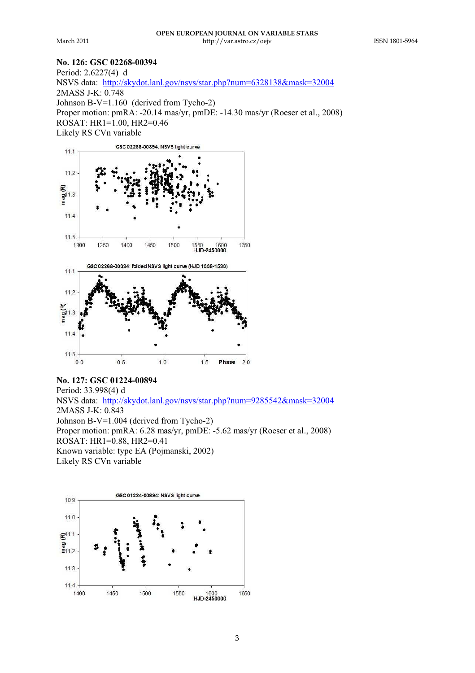## **No. 126: GSC 02268-00394**

Period: 2.6227(4) d NSVS data: http://skydot.lanl.gov/nsvs/star.php?num=6328138&mask=32004 2MASS J-K: 0.748 Johnson B-V=1.160 (derived from Tycho-2) Proper motion: pmRA: -20.14 mas/yr, pmDE: -14.30 mas/yr (Roeser et al., 2008) ROSAT: HR1=1.00, HR2=0.46 Likely RS CVn variable



# **No. 127: GSC 01224-00894**

Period: 33.998(4) d NSVS data: http://skydot.lanl.gov/nsvs/star.php?num=9285542&mask=32004 2MASS J-K: 0.843 Johnson B-V=1.004 (derived from Tycho-2) Proper motion: pmRA: 6.28 mas/yr, pmDE: -5.62 mas/yr (Roeser et al., 2008) ROSAT: HR1=0.88, HR2=0.41 Known variable: type EA (Pojmanski, 2002) Likely RS CVn variable

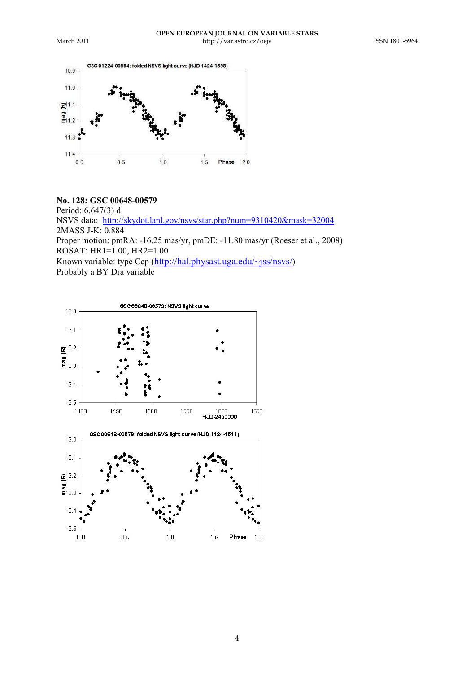

# **No. 128: GSC 00648-00579**

Period: 6.647(3) d NSVS data: http://skydot.lanl.gov/nsvs/star.php?num=9310420&mask=32004 2MASS J-K: 0.884 Proper motion: pmRA: -16.25 mas/yr, pmDE: -11.80 mas/yr (Roeser et al., 2008) ROSAT: HR1=1.00, HR2=1.00

Known variable: type Cep (http://hal.physast.uga.edu/~jss/nsvs/) Probably a BY Dra variable

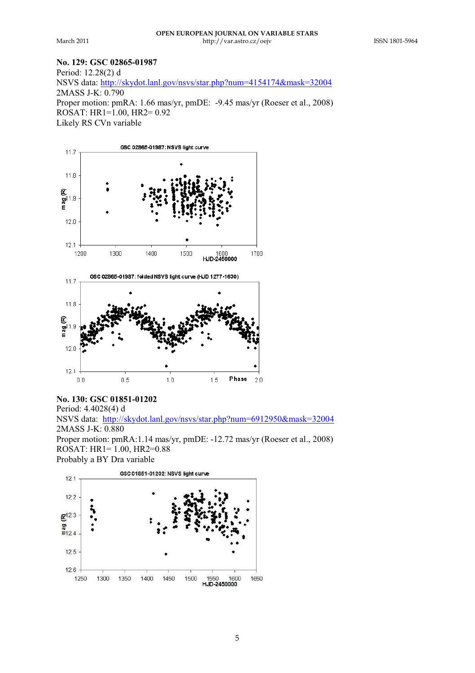# **No. 129: GSC 02865-01987**

Period: 12.28(2) d NSVS data: http://skydot.lanl.gov/nsvs/star.php?num=4154174&mask=32004 2MASS J-K: 0.790 Proper motion: pmRA: 1.66 mas/yr, pmDE: -9.45 mas/yr (Roeser et al., 2008) ROSAT: HR1=1.00, HR2= 0.92 Likely RS CVn variable



## **No. 130: GSC 01851-01202**

Period: 4.4028(4) d NSVS data: http://skydot.lanl.gov/nsvs/star.php?num=6912950&mask=32004 2MASS J-K: 0.880 Proper motion: pmRA:1.14 mas/yr, pmDE: -12.72 mas/yr (Roeser et al., 2008) ROSAT: HR1= 1.00, HR2=0.88 Probably a BY Dra variable

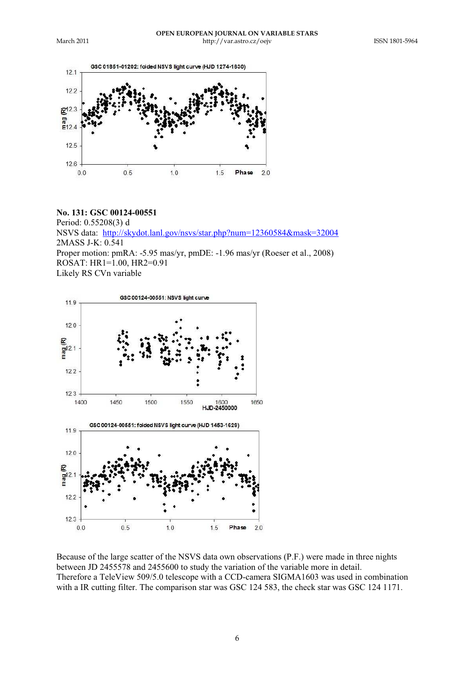

## **No. 131: GSC 00124-00551**

Period: 0.55208(3) d NSVS data: http://skydot.lanl.gov/nsvs/star.php?num=12360584&mask=32004 2MASS J-K: 0.541 Proper motion: pmRA: -5.95 mas/yr, pmDE: -1.96 mas/yr (Roeser et al., 2008) ROSAT: HR1=1.00, HR2=0.91 Likely RS CVn variable



Because of the large scatter of the NSVS data own observations (P.F.) were made in three nights between JD 2455578 and 2455600 to study the variation of the variable more in detail. Therefore a TeleView 509/5.0 telescope with a CCD-camera SIGMA1603 was used in combination with a IR cutting filter. The comparison star was GSC 124 583, the check star was GSC 124 1171.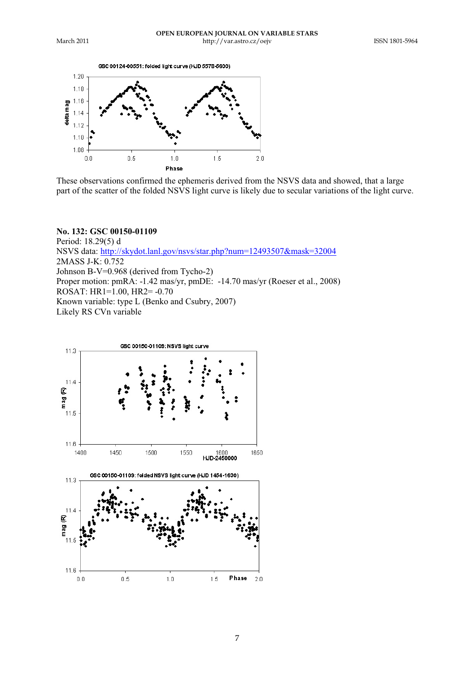



These observations confirmed the ephemeris derived from the NSVS data and showed, that a large part of the scatter of the folded NSVS light curve is likely due to secular variations of the light curve.

#### **No. 132: GSC 00150-01109**

Period: 18.29(5) d NSVS data: http://skydot.lanl.gov/nsvs/star.php?num=12493507&mask=32004 2MASS J-K: 0.752 Johnson B-V=0.968 (derived from Tycho-2) Proper motion: pmRA: -1.42 mas/yr, pmDE: -14.70 mas/yr (Roeser et al., 2008) ROSAT: HR1=1.00, HR2= -0.70 Known variable: type L (Benko and Csubry, 2007) Likely RS CVn variable

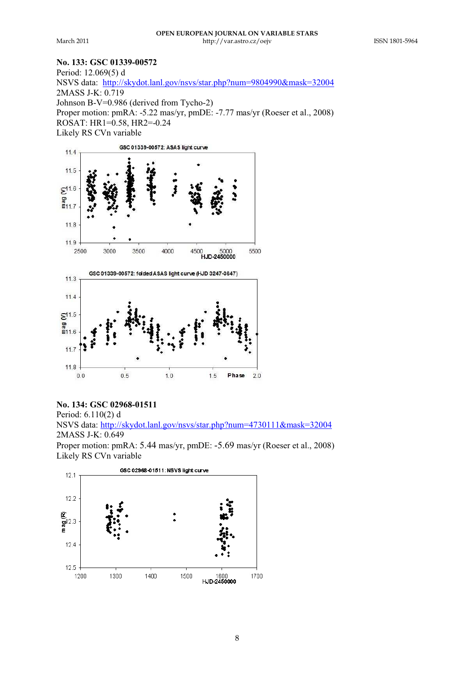#### **No. 133: GSC 01339-00572**

Period: 12.069(5) d NSVS data: http://skydot.lanl.gov/nsvs/star.php?num=9804990&mask=32004 2MASS J-K: 0.719 Johnson B-V=0.986 (derived from Tycho-2) Proper motion: pmRA: -5.22 mas/yr, pmDE: -7.77 mas/yr (Roeser et al., 2008) ROSAT: HR1=0.58, HR2=-0.24 Likely RS CVn variable

![](_page_7_Figure_5.jpeg)

#### **No. 134: GSC 02968-01511**

Period: 6.110(2) d NSVS data: http://skydot.lanl.gov/nsvs/star.php?num=4730111&mask=32004 2MASS J-K: 0.649

Proper motion: pmRA: 5.44 mas/yr, pmDE: -5.69 mas/yr (Roeser et al., 2008) Likely RS CVn variable

![](_page_7_Figure_9.jpeg)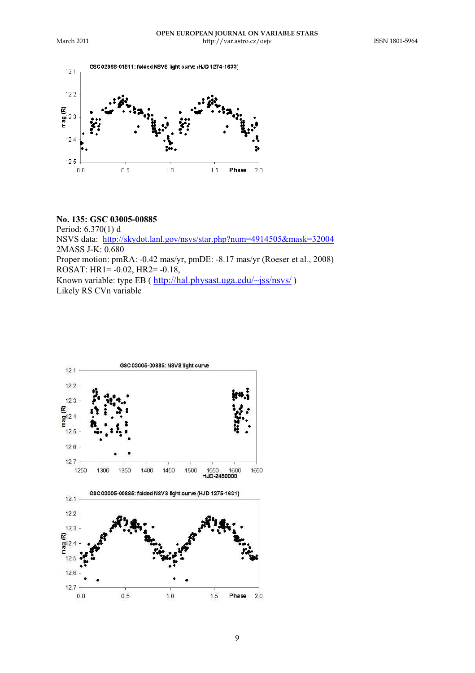![](_page_8_Figure_3.jpeg)

#### **No. 135: GSC 03005-00885**

Period: 6.370(1) d NSVS data: http://skydot.lanl.gov/nsvs/star.php?num=4914505&mask=32004 2MASS J-K: 0.680 Proper motion: pmRA: -0.42 mas/yr, pmDE: -8.17 mas/yr (Roeser et al., 2008) ROSAT: HR1= -0.02, HR2= -0.18, Known variable: type EB ( $\frac{http://hal.physast.uga.edu/~jss/nsvs/)}{}$ Likely RS CVn variable

![](_page_8_Figure_6.jpeg)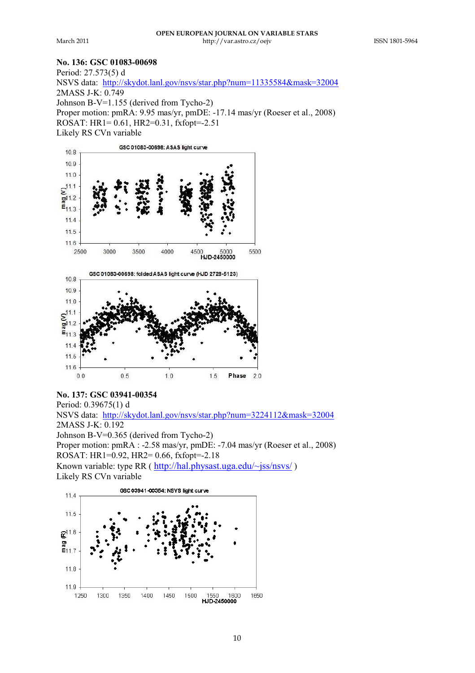#### **No. 136: GSC 01083-00698**

Period: 27.573(5) d

NSVS data: http://skydot.lanl.gov/nsvs/star.php?num=11335584&mask=32004 2MASS J-K: 0.749 Johnson B-V=1.155 (derived from Tycho-2) Proper motion: pmRA: 9.95 mas/yr, pmDE: -17.14 mas/yr (Roeser et al., 2008) ROSAT: HR1= 0.61, HR2=0.31, fxfopt=-2.51 Likely RS CVn variable

![](_page_9_Figure_6.jpeg)

## **No. 137: GSC 03941-00354** Period: 0.39675(1) d NSVS data: http://skydot.lanl.gov/nsvs/star.php?num=3224112&mask=32004 2MASS J-K: 0.192 Johnson B-V=0.365 (derived from Tycho-2) Proper motion: pmRA : -2.58 mas/yr, pmDE: -7.04 mas/yr (Roeser et al., 2008) ROSAT: HR1=0.92, HR2= 0.66, fxfopt=-2.18 Known variable: type RR ( http://hal.physast.uga.edu/~jss/nsvs/ ) Likely RS CVn variable

![](_page_9_Figure_8.jpeg)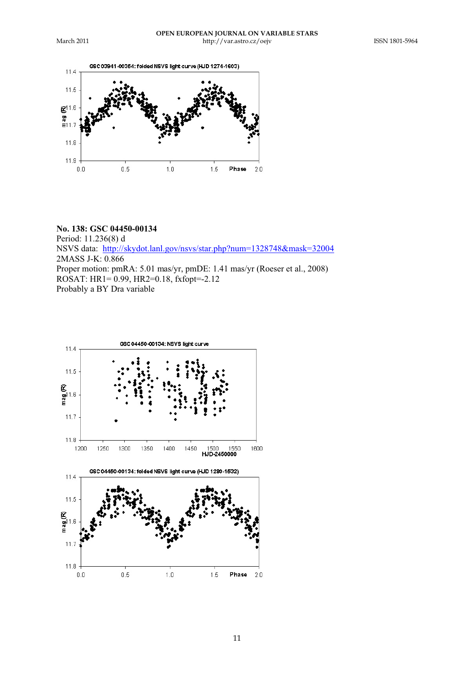![](_page_10_Figure_3.jpeg)

# **No. 138: GSC 04450-00134**

Period: 11.236(8) d NSVS data: http://skydot.lanl.gov/nsvs/star.php?num=1328748&mask=32004 2MASS J-K: 0.866 Proper motion: pmRA: 5.01 mas/yr, pmDE: 1.41 mas/yr (Roeser et al., 2008) ROSAT: HR1= 0.99, HR2=0.18, fxfopt=-2.12 Probably a BY Dra variable

![](_page_10_Figure_6.jpeg)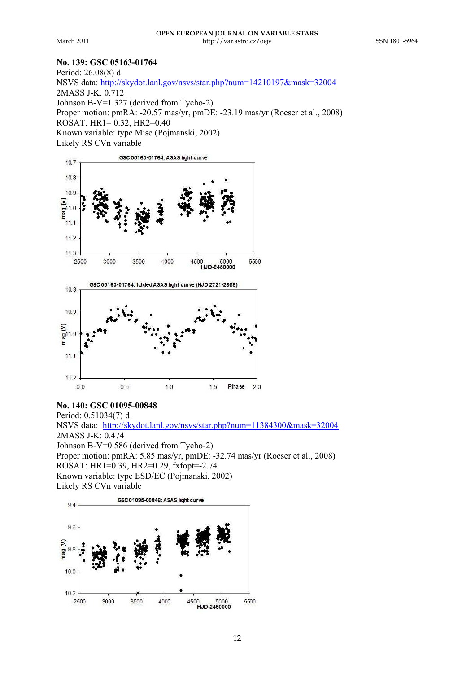## **No. 139: GSC 05163-01764**

Period: 26.08(8) d NSVS data: http://skydot.lanl.gov/nsvs/star.php?num=14210197&mask=32004 2MASS J-K: 0.712 Johnson B-V=1.327 (derived from Tycho-2) Proper motion: pmRA: -20.57 mas/yr, pmDE: -23.19 mas/yr (Roeser et al., 2008) ROSAT: HR1= 0.32, HR2=0.40 Known variable: type Misc (Pojmanski, 2002) Likely RS CVn variable

![](_page_11_Figure_5.jpeg)

## **No. 140: GSC 01095-00848**

Period: 0.51034(7) d NSVS data: http://skydot.lanl.gov/nsvs/star.php?num=11384300&mask=32004 2MASS J-K: 0.474 Johnson B-V=0.586 (derived from Tycho-2) Proper motion: pmRA: 5.85 mas/yr, pmDE: -32.74 mas/yr (Roeser et al., 2008) ROSAT: HR1=0.39, HR2=0.29, fxfopt=-2.74 Known variable: type ESD/EC (Pojmanski, 2002) Likely RS CVn variable

![](_page_11_Figure_8.jpeg)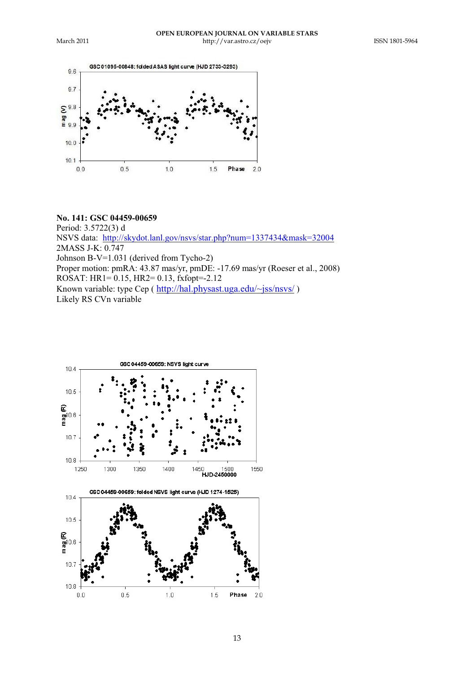![](_page_12_Figure_3.jpeg)

#### **No. 141: GSC 04459-00659**

Period: 3.5722(3) d NSVS data: http://skydot.lanl.gov/nsvs/star.php?num=1337434&mask=32004 2MASS J-K: 0.747 Johnson B-V=1.031 (derived from Tycho-2) Proper motion: pmRA: 43.87 mas/yr, pmDE: -17.69 mas/yr (Roeser et al., 2008) ROSAT: HR1= 0.15, HR2= 0.13, fxfopt=-2.12 Known variable: type Cep ( http://hal.physast.uga.edu/~jss/nsvs/ ) Likely RS CVn variable

![](_page_12_Figure_6.jpeg)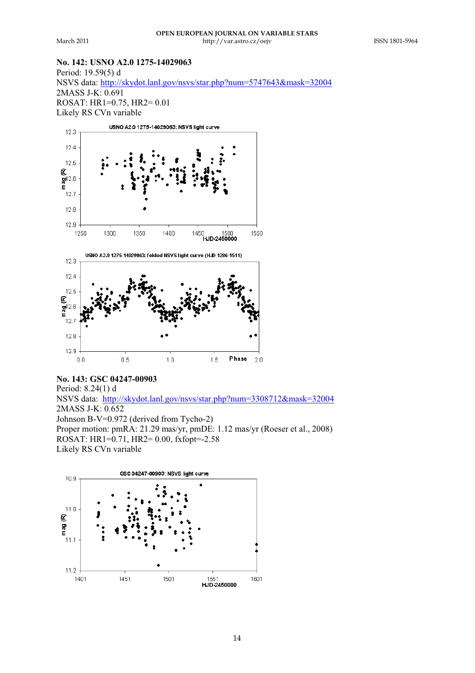#### **No. 142: USNO A2.0 1275-14029063** Period: 19.59(5) d

NSVS data: http://skydot.lanl.gov/nsvs/star.php?num=5747643&mask=32004 2MASS J-K: 0.691 ROSAT: HR1=0.75, HR2= 0.01 Likely RS CVn variable

![](_page_13_Figure_5.jpeg)

# **No. 143: GSC 04247-00903**

Period: 8.24(1) d NSVS data: http://skydot.lanl.gov/nsvs/star.php?num=3308712&mask=32004 2MASS J-K: 0.652 Johnson B-V=0.972 (derived from Tycho-2) Proper motion: pmRA: 21.29 mas/yr, pmDE: 1.12 mas/yr (Roeser et al., 2008) ROSAT: HR1=0.71, HR2= 0.00, fxfopt=-2.58 Likely RS CVn variable

![](_page_13_Figure_8.jpeg)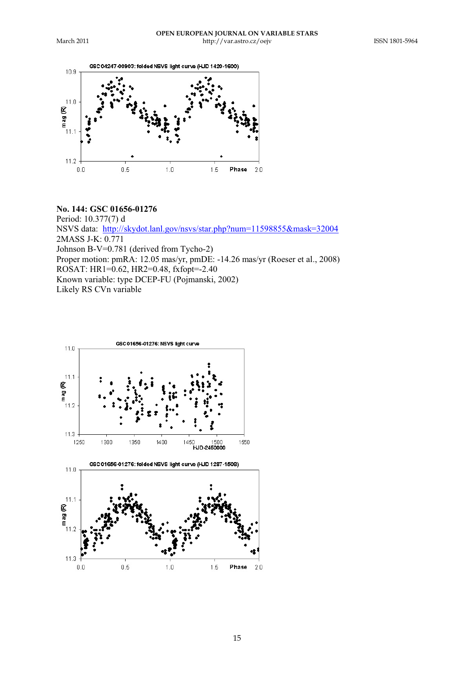![](_page_14_Figure_3.jpeg)

## **No. 144: GSC 01656-01276**

Period: 10.377(7) d NSVS data: http://skydot.lanl.gov/nsvs/star.php?num=11598855&mask=32004 2MASS J-K: 0.771 Johnson B-V=0.781 (derived from Tycho-2) Proper motion: pmRA: 12.05 mas/yr, pmDE: -14.26 mas/yr (Roeser et al., 2008) ROSAT: HR1=0.62, HR2=0.48, fxfopt=-2.40 Known variable: type DCEP-FU (Pojmanski, 2002) Likely RS CVn variable

![](_page_14_Figure_6.jpeg)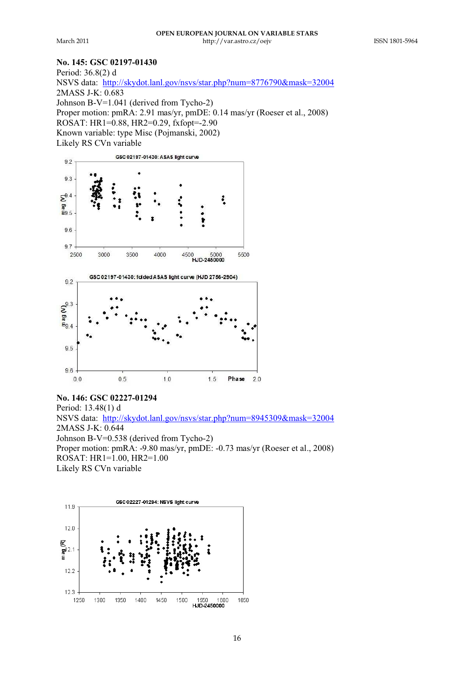## **No. 145: GSC 02197-01430**

Period: 36.8(2) d NSVS data: http://skydot.lanl.gov/nsvs/star.php?num=8776790&mask=32004 2MASS J-K: 0.683 Johnson B-V=1.041 (derived from Tycho-2) Proper motion: pmRA: 2.91 mas/yr, pmDE: 0.14 mas/yr (Roeser et al., 2008) ROSAT: HR1=0.88, HR2=0.29, fxfopt=-2.90 Known variable: type Misc (Pojmanski, 2002) Likely RS CVn variable

![](_page_15_Figure_5.jpeg)

**No. 146: GSC 02227-01294** Period: 13.48(1) d NSVS data: http://skydot.lanl.gov/nsvs/star.php?num=8945309&mask=32004 2MASS J-K: 0.644 Johnson B-V=0.538 (derived from Tycho-2) Proper motion: pmRA: -9.80 mas/yr, pmDE: -0.73 mas/yr (Roeser et al., 2008) ROSAT: HR1=1.00, HR2=1.00 Likely RS CVn variable

![](_page_15_Figure_7.jpeg)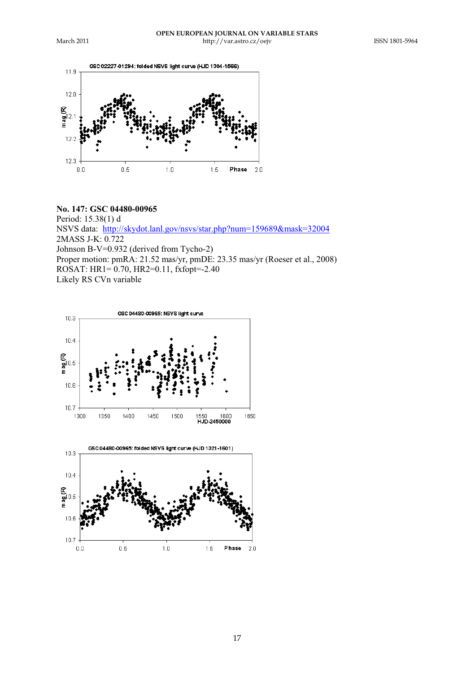![](_page_16_Figure_3.jpeg)

#### **No. 147: GSC 04480-00965**

Period: 15.38(1) d NSVS data: http://skydot.lanl.gov/nsvs/star.php?num=159689&mask=32004 2MASS J-K: 0.722 Johnson B-V=0.932 (derived from Tycho-2) Proper motion: pmRA: 21.52 mas/yr, pmDE: 23.35 mas/yr (Roeser et al., 2008) ROSAT: HR1= 0.70, HR2=0.11, fxfopt=-2.40 Likely RS CVn variable

![](_page_16_Figure_6.jpeg)

 $1.0$ 

 $1.5\,$ 

 $0.5\,$ 

 $0.0\,$ 

 $2.0$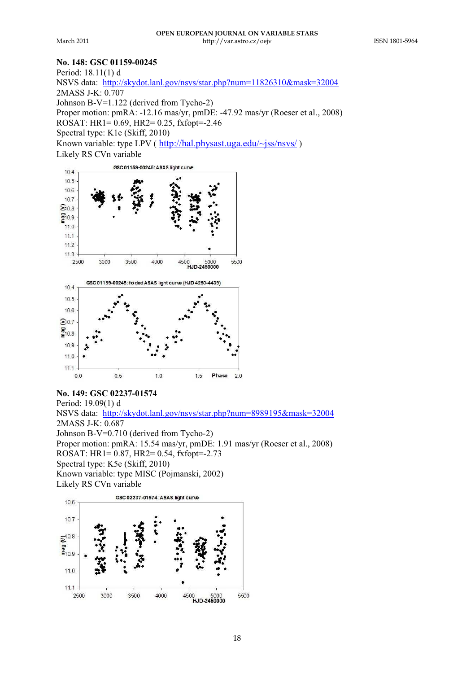## **No. 148: GSC 01159-00245**

Period: 18.11(1) d NSVS data: http://skydot.lanl.gov/nsvs/star.php?num=11826310&mask=32004 2MASS J-K: 0.707 Johnson B-V=1.122 (derived from Tycho-2) Proper motion: pmRA: -12.16 mas/yr, pmDE: -47.92 mas/yr (Roeser et al., 2008) ROSAT:  $HR1 = 0.69$ ,  $HR2 = 0.25$ ,  $fxfont = -2.46$ Spectral type: K1e (Skiff, 2010) Known variable: type LPV ( http://hal.physast.uga.edu/~jss/nsvs/ ) Likely RS CVn variable

![](_page_17_Figure_5.jpeg)

**No. 149: GSC 02237-01574** Period: 19.09(1) d NSVS data: http://skydot.lanl.gov/nsvs/star.php?num=8989195&mask=32004 2MASS J-K: 0.687 Johnson B-V=0.710 (derived from Tycho-2) Proper motion: pmRA: 15.54 mas/yr, pmDE: 1.91 mas/yr (Roeser et al., 2008) ROSAT: HR1= 0.87, HR2= 0.54, fxfopt=-2.73 Spectral type: K5e (Skiff, 2010) Known variable: type MISC (Pojmanski, 2002) Likely RS CVn variable

![](_page_17_Figure_7.jpeg)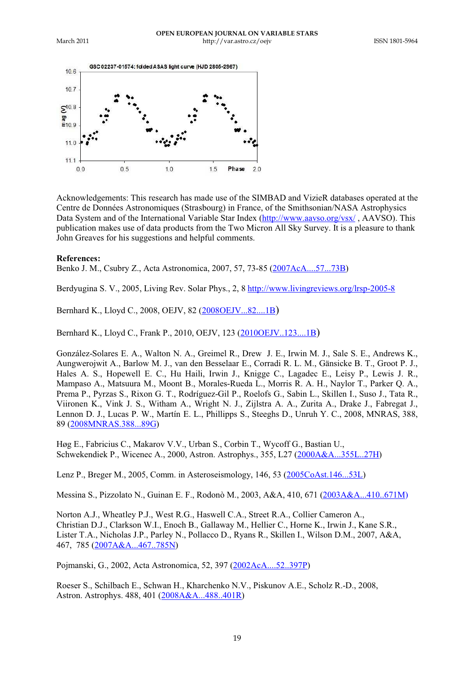![](_page_18_Figure_3.jpeg)

Acknowledgements: This research has made use of the SIMBAD and VizieR databases operated at the Centre de Données Astronomiques (Strasbourg) in France, of the Smithsonian/NASA Astrophysics Data System and of the International Variable Star Index (http://www.aavso.org/ysx/, AAVSO). This publication makes use of data products from the Two Micron All Sky Survey. It is a pleasure to thank John Greaves for his suggestions and helpful comments.

#### **References:**

Benko J. M., Csubry Z., Acta Astronomica, 2007, 57, 73-85 (2007AcA....57...73B)

Berdyugina S. V., 2005, Living Rev. Solar Phys., 2, 8 http://www.livingreviews.org/lrsp-2005-8

Bernhard K., Lloyd C., 2008, OEJV, 82 (2008OEJV...82....1B)

Bernhard K., Lloyd C., Frank P., 2010, OEJV, 123 (2010OEJV..123....1B)

González-Solares E. A., Walton N. A., Greimel R., Drew J. E., Irwin M. J., Sale S. E., Andrews K., Aungwerojwit A., Barlow M. J., van den Besselaar E., Corradi R. L. M., Gänsicke B. T., Groot P. J., Hales A. S., Hopewell E. C., Hu Haili, Irwin J., Knigge C., Lagadec E., Leisy P., Lewis J. R., Mampaso A., Matsuura M., Moont B., Morales-Rueda L., Morris R. A. H., Naylor T., Parker Q. A., Prema P., Pyrzas S., Rixon G. T., Rodríguez-Gil P., Roelofs G., Sabin L., Skillen I., Suso J., Tata R., Viironen K., Vink J. S., Witham A., Wright N. J., Zijlstra A. A., Zurita A., Drake J., Fabregat J., Lennon D. J., Lucas P. W., Martín E. L., Phillipps S., Steeghs D., Unruh Y. C., 2008, MNRAS, 388, 89 (2008MNRAS.388...89G)

Høg E., Fabricius C., Makarov V.V., Urban S., Corbin T., Wycoff G., Bastian U., Schwekendiek P., Wicenec A., 2000, Astron. Astrophys., 355, L27 (2000A&A...355L..27H)

Lenz P., Breger M., 2005, Comm. in Asteroseismology, 146, 53 (2005CoAst.146...53L)

Messina S., Pizzolato N., Guinan E. F., Rodonò M., 2003, A&A, 410, 671 (2003A&A...410..671M)

Norton A.J., Wheatley P.J., West R.G., Haswell C.A., Street R.A., Collier Cameron A., Christian D.J., Clarkson W.I., Enoch B., Gallaway M., Hellier C., Horne K., Irwin J., Kane S.R., Lister T.A., Nicholas J.P., Parley N., Pollacco D., Ryans R., Skillen I., Wilson D.M., 2007, A&A, 467, 785 (2007A&A...467..785N)

Pojmanski, G., 2002, Acta Astronomica, 52, 397 (2002AcA....52..397P)

Roeser S., Schilbach E., Schwan H., Kharchenko N.V., Piskunov A.E., Scholz R.-D., 2008, Astron. Astrophys. 488, 401 (2008A&A...488..401R)